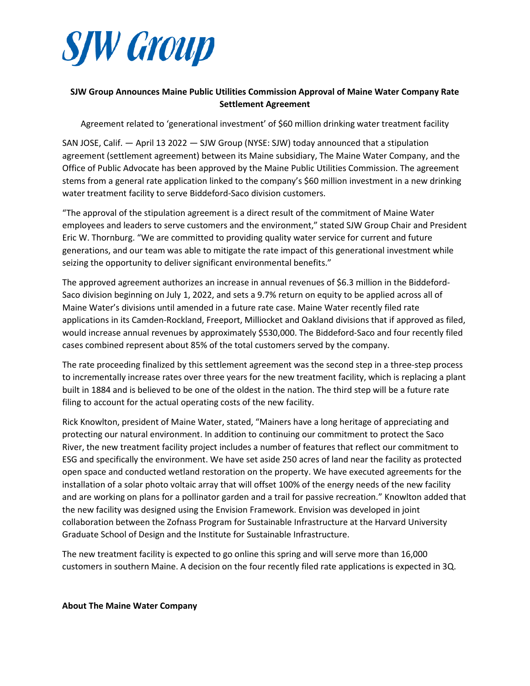

## **SJW Group Announces Maine Public Utilities Commission Approval of Maine Water Company Rate Settlement Agreement**

Agreement related to 'generational investment' of \$60 million drinking water treatment facility

SAN JOSE, Calif. — April 13 2022 — SJW Group (NYSE: SJW) today announced that a stipulation agreement (settlement agreement) between its Maine subsidiary, The Maine Water Company, and the Office of Public Advocate has been approved by the Maine Public Utilities Commission. The agreement stems from a general rate application linked to the company's \$60 million investment in a new drinking water treatment facility to serve Biddeford-Saco division customers.

"The approval of the stipulation agreement is a direct result of the commitment of Maine Water employees and leaders to serve customers and the environment," stated SJW Group Chair and President Eric W. Thornburg. "We are committed to providing quality water service for current and future generations, and our team was able to mitigate the rate impact of this generational investment while seizing the opportunity to deliver significant environmental benefits."

The approved agreement authorizes an increase in annual revenues of \$6.3 million in the Biddeford-Saco division beginning on July 1, 2022, and sets a 9.7% return on equity to be applied across all of Maine Water's divisions until amended in a future rate case. Maine Water recently filed rate applications in its Camden-Rockland, Freeport, Milliocket and Oakland divisions that if approved as filed, would increase annual revenues by approximately \$530,000. The Biddeford-Saco and four recently filed cases combined represent about 85% of the total customers served by the company.

The rate proceeding finalized by this settlement agreement was the second step in a three-step process to incrementally increase rates over three years for the new treatment facility, which is replacing a plant built in 1884 and is believed to be one of the oldest in the nation. The third step will be a future rate filing to account for the actual operating costs of the new facility.

Rick Knowlton, president of Maine Water, stated, "Mainers have a long heritage of appreciating and protecting our natural environment. In addition to continuing our commitment to protect the Saco River, the new treatment facility project includes a number of features that reflect our commitment to ESG and specifically the environment. We have set aside 250 acres of land near the facility as protected open space and conducted wetland restoration on the property. We have executed agreements for the installation of a solar photo voltaic array that will offset 100% of the energy needs of the new facility and are working on plans for a pollinator garden and a trail for passive recreation." Knowlton added that the new facility was designed using the Envision Framework. Envision was developed in joint collaboration between the Zofnass Program for Sustainable Infrastructure at the Harvard University Graduate School of Design and the Institute for Sustainable Infrastructure.

The new treatment facility is expected to go online this spring and will serve more than 16,000 customers in southern Maine. A decision on the four recently filed rate applications is expected in 3Q.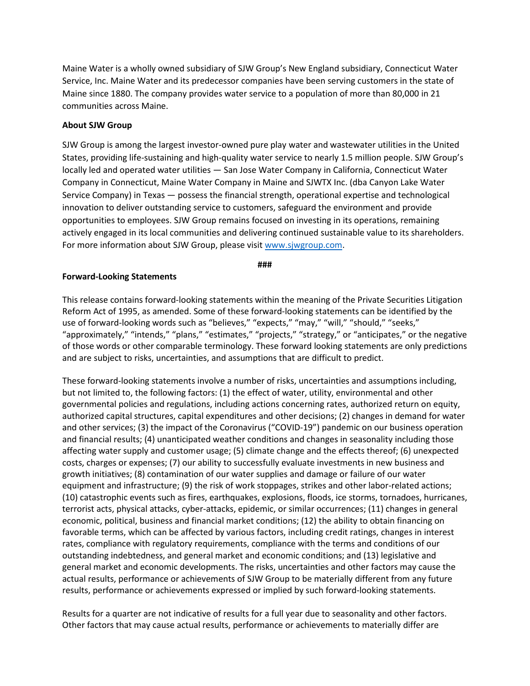Maine Water is a wholly owned subsidiary of SJW Group's New England subsidiary, Connecticut Water Service, Inc. Maine Water and its predecessor companies have been serving customers in the state of Maine since 1880. The company provides water service to a population of more than 80,000 in 21 communities across Maine.

## **About SJW Group**

SJW Group is among the largest investor-owned pure play water and wastewater utilities in the United States, providing life-sustaining and high-quality water service to nearly 1.5 million people. SJW Group's locally led and operated water utilities — San Jose Water Company in California, Connecticut Water Company in Connecticut, Maine Water Company in Maine and SJWTX Inc. (dba Canyon Lake Water Service Company) in Texas — possess the financial strength, operational expertise and technological innovation to deliver outstanding service to customers, safeguard the environment and provide opportunities to employees. SJW Group remains focused on investing in its operations, remaining actively engaged in its local communities and delivering continued sustainable value to its shareholders. For more information about SJW Group, please visit [www.sjwgroup.com.](http://www.sjwgroup.com/)

**###**

## **Forward-Looking Statements**

This release contains forward-looking statements within the meaning of the Private Securities Litigation Reform Act of 1995, as amended. Some of these forward-looking statements can be identified by the use of forward-looking words such as "believes," "expects," "may," "will," "should," "seeks," "approximately," "intends," "plans," "estimates," "projects," "strategy," or "anticipates," or the negative of those words or other comparable terminology. These forward looking statements are only predictions and are subject to risks, uncertainties, and assumptions that are difficult to predict.

These forward-looking statements involve a number of risks, uncertainties and assumptions including, but not limited to, the following factors: (1) the effect of water, utility, environmental and other governmental policies and regulations, including actions concerning rates, authorized return on equity, authorized capital structures, capital expenditures and other decisions; (2) changes in demand for water and other services; (3) the impact of the Coronavirus ("COVID-19") pandemic on our business operation and financial results; (4) unanticipated weather conditions and changes in seasonality including those affecting water supply and customer usage; (5) climate change and the effects thereof; (6) unexpected costs, charges or expenses; (7) our ability to successfully evaluate investments in new business and growth initiatives; (8) contamination of our water supplies and damage or failure of our water equipment and infrastructure; (9) the risk of work stoppages, strikes and other labor-related actions; (10) catastrophic events such as fires, earthquakes, explosions, floods, ice storms, tornadoes, hurricanes, terrorist acts, physical attacks, cyber-attacks, epidemic, or similar occurrences; (11) changes in general economic, political, business and financial market conditions; (12) the ability to obtain financing on favorable terms, which can be affected by various factors, including credit ratings, changes in interest rates, compliance with regulatory requirements, compliance with the terms and conditions of our outstanding indebtedness, and general market and economic conditions; and (13) legislative and general market and economic developments. The risks, uncertainties and other factors may cause the actual results, performance or achievements of SJW Group to be materially different from any future results, performance or achievements expressed or implied by such forward-looking statements.

Results for a quarter are not indicative of results for a full year due to seasonality and other factors. Other factors that may cause actual results, performance or achievements to materially differ are